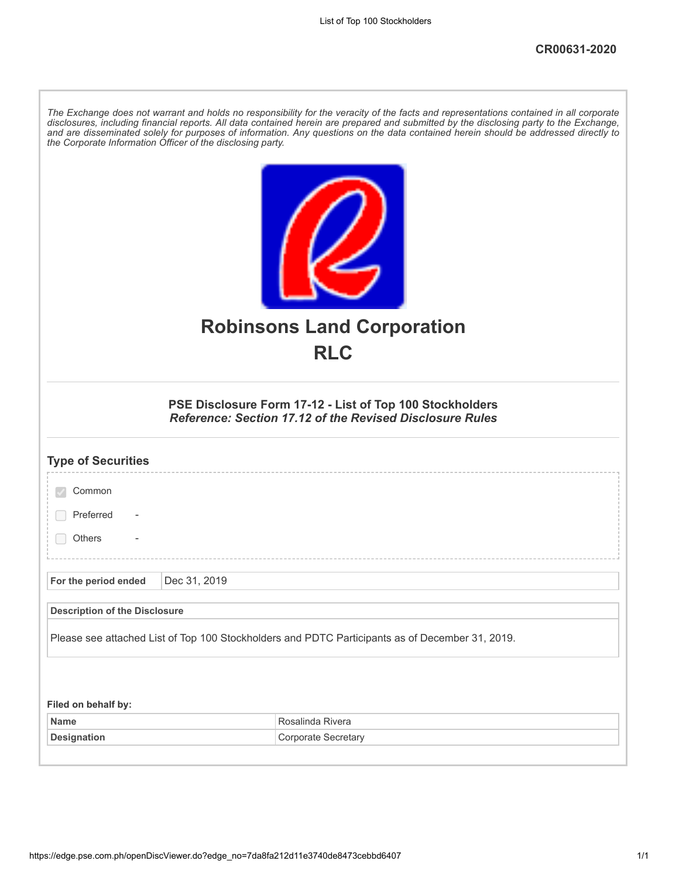| The Exchange does not warrant and holds no responsibility for the veracity of the facts and representations contained in all corporate<br>disclosures, including financial reports. All data contained herein are prepared and submitted by the disclosing party to the Exchange,<br>and are disseminated solely for purposes of information. Any questions on the data contained herein should be addressed directly to<br>the Corporate Information Officer of the disclosing party. |  |  |  |  |
|----------------------------------------------------------------------------------------------------------------------------------------------------------------------------------------------------------------------------------------------------------------------------------------------------------------------------------------------------------------------------------------------------------------------------------------------------------------------------------------|--|--|--|--|
| <b>Robinsons Land Corporation</b><br><b>RLC</b>                                                                                                                                                                                                                                                                                                                                                                                                                                        |  |  |  |  |
| PSE Disclosure Form 17-12 - List of Top 100 Stockholders<br><b>Reference: Section 17.12 of the Revised Disclosure Rules</b>                                                                                                                                                                                                                                                                                                                                                            |  |  |  |  |
| <b>Type of Securities</b>                                                                                                                                                                                                                                                                                                                                                                                                                                                              |  |  |  |  |
| Common                                                                                                                                                                                                                                                                                                                                                                                                                                                                                 |  |  |  |  |
| Preferred                                                                                                                                                                                                                                                                                                                                                                                                                                                                              |  |  |  |  |
| Others                                                                                                                                                                                                                                                                                                                                                                                                                                                                                 |  |  |  |  |
|                                                                                                                                                                                                                                                                                                                                                                                                                                                                                        |  |  |  |  |
| Dec 31, 2019<br>For the period ended                                                                                                                                                                                                                                                                                                                                                                                                                                                   |  |  |  |  |
| <b>Description of the Disclosure</b>                                                                                                                                                                                                                                                                                                                                                                                                                                                   |  |  |  |  |
| Please see attached List of Top 100 Stockholders and PDTC Participants as of December 31, 2019.                                                                                                                                                                                                                                                                                                                                                                                        |  |  |  |  |
|                                                                                                                                                                                                                                                                                                                                                                                                                                                                                        |  |  |  |  |
| Filed on behalf by:                                                                                                                                                                                                                                                                                                                                                                                                                                                                    |  |  |  |  |
| Rosalinda Rivera<br><b>Name</b>                                                                                                                                                                                                                                                                                                                                                                                                                                                        |  |  |  |  |
| <b>Designation</b><br>Corporate Secretary                                                                                                                                                                                                                                                                                                                                                                                                                                              |  |  |  |  |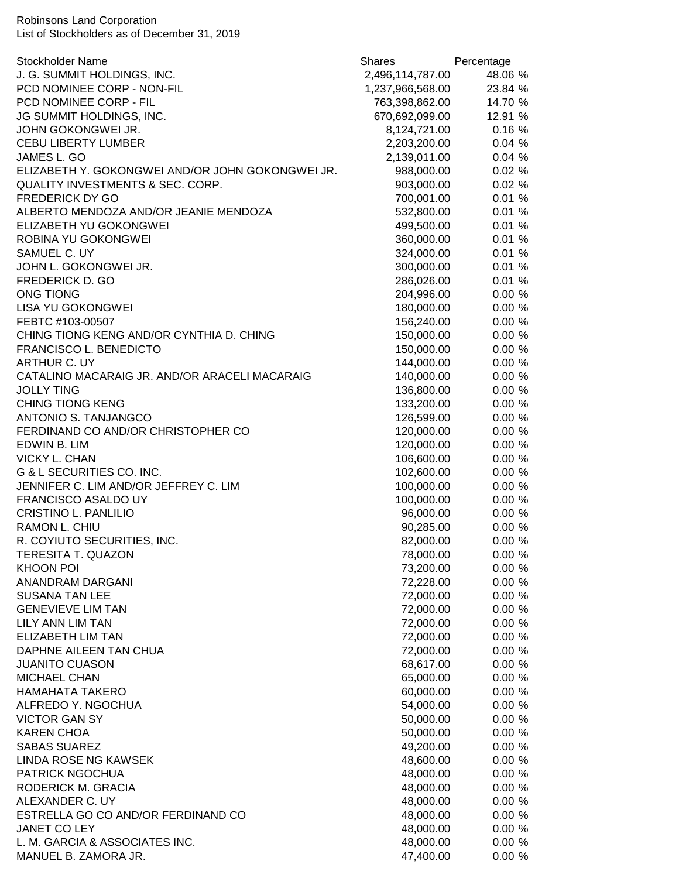Robinsons Land Corporation List of Stockholders as of December 31, 2019

| <b>Stockholder Name</b>                          | <b>Shares</b>    | Percentage |
|--------------------------------------------------|------------------|------------|
| J. G. SUMMIT HOLDINGS, INC.                      | 2,496,114,787.00 | 48.06 %    |
| PCD NOMINEE CORP - NON-FIL                       | 1,237,966,568.00 | 23.84 %    |
| PCD NOMINEE CORP - FIL                           | 763,398,862.00   | 14.70 %    |
| JG SUMMIT HOLDINGS, INC.                         | 670,692,099.00   | 12.91 %    |
| JOHN GOKONGWEI JR.                               | 8,124,721.00     | 0.16%      |
| <b>CEBU LIBERTY LUMBER</b>                       | 2,203,200.00     | 0.04%      |
| JAMES L. GO                                      | 2,139,011.00     | 0.04%      |
| ELIZABETH Y. GOKONGWEI AND/OR JOHN GOKONGWEI JR. | 988,000.00       | 0.02%      |
| <b>QUALITY INVESTMENTS &amp; SEC. CORP.</b>      | 903,000.00       | 0.02%      |
| <b>FREDERICK DY GO</b>                           | 700,001.00       | 0.01%      |
| ALBERTO MENDOZA AND/OR JEANIE MENDOZA            | 532,800.00       | 0.01%      |
| ELIZABETH YU GOKONGWEI                           | 499,500.00       | 0.01%      |
| ROBINA YU GOKONGWEI                              |                  |            |
|                                                  | 360,000.00       | 0.01%      |
| SAMUEL C. UY                                     | 324,000.00       | 0.01%      |
| JOHN L. GOKONGWEI JR.                            | 300,000.00       | 0.01%      |
| <b>FREDERICK D. GO</b>                           | 286,026.00       | 0.01%      |
| <b>ONG TIONG</b>                                 | 204,996.00       | 0.00%      |
| <b>LISA YU GOKONGWEI</b>                         | 180,000.00       | 0.00%      |
| FEBTC #103-00507                                 | 156,240.00       | 0.00%      |
| CHING TIONG KENG AND/OR CYNTHIA D. CHING         | 150,000.00       | 0.00%      |
| <b>FRANCISCO L. BENEDICTO</b>                    | 150,000.00       | 0.00%      |
| ARTHUR C. UY                                     | 144,000.00       | 0.00%      |
| CATALINO MACARAIG JR. AND/OR ARACELI MACARAIG    | 140,000.00       | 0.00%      |
| <b>JOLLY TING</b>                                | 136,800.00       | 0.00%      |
| <b>CHING TIONG KENG</b>                          | 133,200.00       | 0.00%      |
| ANTONIO S. TANJANGCO                             | 126,599.00       | 0.00%      |
| FERDINAND CO AND/OR CHRISTOPHER CO               | 120,000.00       | 0.00%      |
| EDWIN B. LIM                                     | 120,000.00       | $0.00 \%$  |
| <b>VICKY L. CHAN</b>                             | 106,600.00       | 0.00%      |
| <b>G &amp; L SECURITIES CO. INC.</b>             | 102,600.00       | 0.00%      |
| JENNIFER C. LIM AND/OR JEFFREY C. LIM            | 100,000.00       | 0.00%      |
| FRANCISCO ASALDO UY                              | 100,000.00       | 0.00%      |
| CRISTINO L. PANLILIO                             | 96,000.00        | 0.00%      |
| RAMON L. CHIU                                    | 90,285.00        | 0.00%      |
| R. COYIUTO SECURITIES, INC.                      | 82,000.00        | 0.00%      |
| TERESITA T. QUAZON                               |                  | $0.00 \%$  |
|                                                  | 78,000.00        |            |
| <b>KHOON POI</b>                                 | 73,200.00        | $0.00 \%$  |
| ANANDRAM DARGANI                                 | 72,228.00        | $0.00 \%$  |
| <b>SUSANA TAN LEE</b>                            | 72,000.00        | 0.00%      |
| <b>GENEVIEVE LIM TAN</b>                         | 72,000.00        | 0.00%      |
| LILY ANN LIM TAN                                 | 72,000.00        | 0.00%      |
| ELIZABETH LIM TAN                                | 72,000.00        | 0.00%      |
| DAPHNE AILEEN TAN CHUA                           | 72,000.00        | 0.00%      |
| <b>JUANITO CUASON</b>                            | 68,617.00        | 0.00%      |
| <b>MICHAEL CHAN</b>                              | 65,000.00        | $0.00 \%$  |
| <b>HAMAHATA TAKERO</b>                           | 60,000.00        | $0.00 \%$  |
| ALFREDO Y. NGOCHUA                               | 54,000.00        | 0.00%      |
| <b>VICTOR GAN SY</b>                             | 50,000.00        | 0.00%      |
| <b>KAREN CHOA</b>                                | 50,000.00        | $0.00 \%$  |
| <b>SABAS SUAREZ</b>                              | 49,200.00        | $0.00 \%$  |
| LINDA ROSE NG KAWSEK                             | 48,600.00        | $0.00 \%$  |
| PATRICK NGOCHUA                                  | 48,000.00        | $0.00 \%$  |
| RODERICK M. GRACIA                               | 48,000.00        | $0.00 \%$  |
| ALEXANDER C. UY                                  | 48,000.00        | 0.00%      |
| ESTRELLA GO CO AND/OR FERDINAND CO               | 48,000.00        | 0.00%      |
| JANET CO LEY                                     | 48,000.00        | $0.00 \%$  |
| L. M. GARCIA & ASSOCIATES INC.                   | 48,000.00        | $0.00 \%$  |
|                                                  |                  | $0.00 \%$  |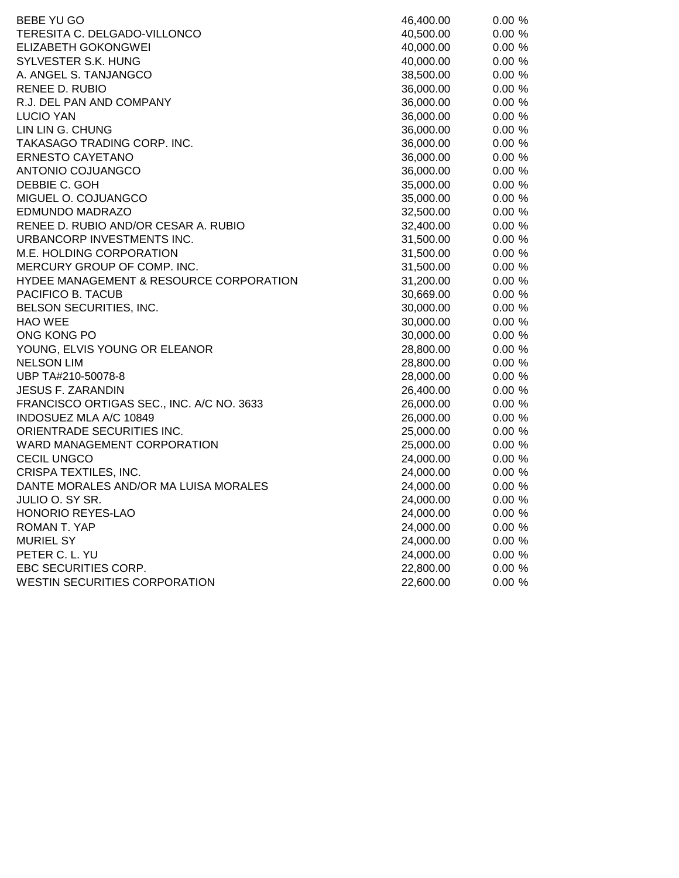| BEBE YU GO                                | 46,400.00 | 0.00%  |
|-------------------------------------------|-----------|--------|
| TERESITA C. DELGADO-VILLONCO              | 40,500.00 | 0.00%  |
| <b>ELIZABETH GOKONGWEI</b>                | 40,000.00 | 0.00%  |
| SYLVESTER S.K. HUNG                       | 40,000.00 | 0.00%  |
| A. ANGEL S. TANJANGCO                     | 38,500.00 | 0.00%  |
| RENEE D. RUBIO                            | 36,000.00 | 0.00 % |
| R.J. DEL PAN AND COMPANY                  | 36,000.00 | 0.00%  |
| LUCIO YAN                                 | 36,000.00 | 0.00%  |
| LIN LIN G. CHUNG                          | 36,000.00 | 0.00%  |
| TAKASAGO TRADING CORP. INC.               | 36,000.00 | 0.00%  |
| ERNESTO CAYETANO                          | 36,000.00 | 0.00%  |
| ANTONIO COJUANGCO                         | 36,000.00 | 0.00%  |
| DEBBIE C. GOH                             | 35,000.00 | 0.00%  |
| MIGUEL O. COJUANGCO                       | 35,000.00 | 0.00%  |
| <b>EDMUNDO MADRAZO</b>                    | 32,500.00 | 0.00%  |
| RENEE D. RUBIO AND/OR CESAR A. RUBIO      | 32,400.00 | 0.00%  |
| URBANCORP INVESTMENTS INC.                | 31,500.00 | 0.00%  |
| M.E. HOLDING CORPORATION                  | 31,500.00 | 0.00%  |
| MERCURY GROUP OF COMP. INC.               | 31,500.00 | 0.00%  |
| HYDEE MANAGEMENT & RESOURCE CORPORATION   | 31,200.00 | 0.00%  |
| PACIFICO B. TACUB                         | 30,669.00 | 0.00 % |
| BELSON SECURITIES, INC.                   | 30,000.00 | 0.00%  |
| <b>HAO WEE</b>                            | 30,000.00 | 0.00%  |
| ONG KONG PO                               | 30,000.00 | 0.00%  |
| YOUNG, ELVIS YOUNG OR ELEANOR             | 28,800.00 | 0.00%  |
| <b>NELSON LIM</b>                         | 28,800.00 | 0.00%  |
| UBP TA#210-50078-8                        | 28,000.00 | 0.00%  |
| <b>JESUS F. ZARANDIN</b>                  | 26,400.00 | 0.00%  |
| FRANCISCO ORTIGAS SEC., INC. A/C NO. 3633 | 26,000.00 | 0.00%  |
| INDOSUEZ MLA A/C 10849                    | 26,000.00 | 0.00 % |
| ORIENTRADE SECURITIES INC.                | 25,000.00 | 0.00%  |
| WARD MANAGEMENT CORPORATION               | 25,000.00 | 0.00%  |
| <b>CECIL UNGCO</b>                        | 24,000.00 | 0.00%  |
| CRISPA TEXTILES, INC.                     | 24,000.00 | 0.00%  |
| DANTE MORALES AND/OR MA LUISA MORALES     | 24,000.00 | 0.00%  |
| JULIO O. SY SR.                           | 24,000.00 | 0.00%  |
| HONORIO REYES-LAO                         | 24,000.00 | 0.00%  |
| ROMAN T. YAP                              | 24,000.00 | 0.00%  |
| <b>MURIEL SY</b>                          | 24,000.00 | 0.00%  |
| PETER C. L. YU                            | 24,000.00 | 0.00%  |
| EBC SECURITIES CORP.                      | 22,800.00 | 0.00%  |
| <b>WESTIN SECURITIES CORPORATION</b>      | 22,600.00 | 0.00%  |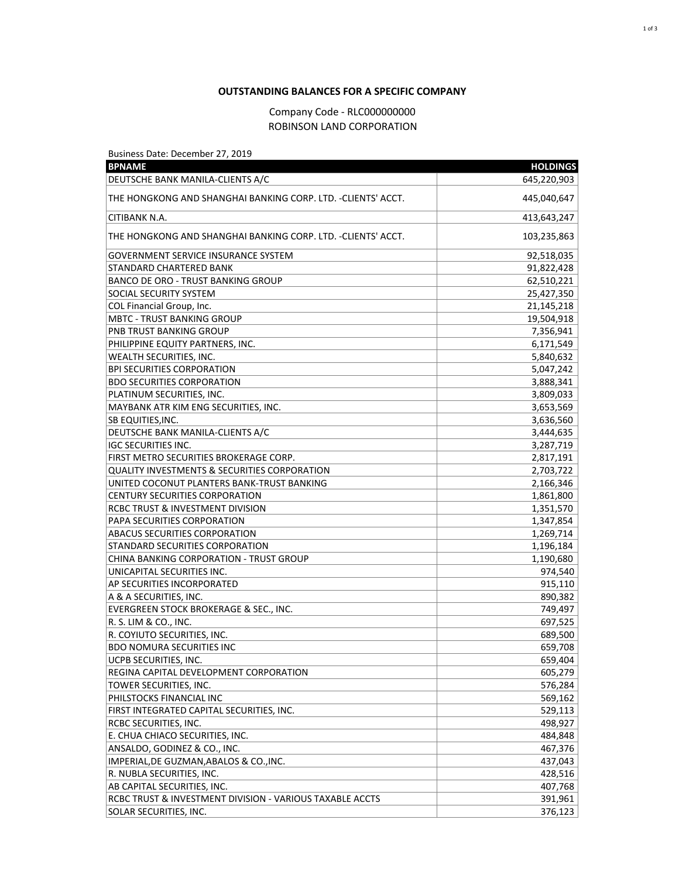## **OUTSTANDING BALANCES FOR A SPECIFIC COMPANY**

## Company Code - RLC000000000 ROBINSON LAND CORPORATION

Business Date: December 27, 2019

| <b>BPNAME</b>                                                           | <b>HOLDINGS</b> |
|-------------------------------------------------------------------------|-----------------|
| DEUTSCHE BANK MANILA-CLIENTS A/C                                        | 645,220,903     |
| THE HONGKONG AND SHANGHAI BANKING CORP. LTD. -CLIENTS' ACCT.            | 445,040,647     |
| CITIBANK N.A.                                                           | 413,643,247     |
| THE HONGKONG AND SHANGHAI BANKING CORP. LTD. -CLIENTS' ACCT.            | 103,235,863     |
| GOVERNMENT SERVICE INSURANCE SYSTEM                                     | 92,518,035      |
| STANDARD CHARTERED BANK                                                 | 91,822,428      |
| <b>BANCO DE ORO - TRUST BANKING GROUP</b>                               | 62,510,221      |
| SOCIAL SECURITY SYSTEM                                                  | 25,427,350      |
| COL Financial Group, Inc.                                               | 21,145,218      |
| <b>MBTC - TRUST BANKING GROUP</b>                                       | 19,504,918      |
| PNB TRUST BANKING GROUP                                                 | 7,356,941       |
| PHILIPPINE EQUITY PARTNERS, INC.                                        | 6,171,549       |
| WEALTH SECURITIES, INC.                                                 | 5,840,632       |
| <b>BPI SECURITIES CORPORATION</b>                                       | 5,047,242       |
| <b>BDO SECURITIES CORPORATION</b>                                       | 3,888,341       |
| PLATINUM SECURITIES, INC.                                               | 3,809,033       |
| MAYBANK ATR KIM ENG SECURITIES, INC.                                    | 3,653,569       |
| SB EQUITIES, INC.                                                       | 3,636,560       |
| DEUTSCHE BANK MANILA-CLIENTS A/C                                        | 3,444,635       |
| <b>IGC SECURITIES INC.</b>                                              | 3,287,719       |
| FIRST METRO SECURITIES BROKERAGE CORP.                                  | 2,817,191       |
| <b>QUALITY INVESTMENTS &amp; SECURITIES CORPORATION</b>                 | 2,703,722       |
| UNITED COCONUT PLANTERS BANK-TRUST BANKING                              | 2,166,346       |
| <b>CENTURY SECURITIES CORPORATION</b>                                   | 1,861,800       |
| RCBC TRUST & INVESTMENT DIVISION                                        | 1,351,570       |
| PAPA SECURITIES CORPORATION                                             | 1,347,854       |
| <b>ABACUS SECURITIES CORPORATION</b>                                    | 1,269,714       |
| STANDARD SECURITIES CORPORATION                                         | 1,196,184       |
| CHINA BANKING CORPORATION - TRUST GROUP                                 | 1,190,680       |
| UNICAPITAL SECURITIES INC.                                              | 974,540         |
| AP SECURITIES INCORPORATED                                              | 915,110         |
| A & A SECURITIES, INC.                                                  | 890,382         |
| EVERGREEN STOCK BROKERAGE & SEC., INC.                                  | 749,497         |
| R. S. LIM & CO., INC.                                                   | 697,525         |
| R. COYIUTO SECURITIES, INC.                                             | 689,500         |
| <b>BDO NOMURA SECURITIES INC</b>                                        | 659,708         |
| UCPB SECURITIES, INC.                                                   | 659,404         |
| REGINA CAPITAL DEVELOPMENT CORPORATION                                  | 605,279         |
| TOWER SECURITIES, INC.                                                  | 576,284         |
| PHILSTOCKS FINANCIAL INC                                                | 569,162         |
|                                                                         | 529,113         |
| FIRST INTEGRATED CAPITAL SECURITIES, INC.<br>RCBC SECURITIES, INC.      |                 |
|                                                                         | 498,927         |
| E. CHUA CHIACO SECURITIES, INC.                                         | 484,848         |
| ANSALDO, GODINEZ & CO., INC.<br>IMPERIAL, DE GUZMAN, ABALOS & CO., INC. | 467,376         |
|                                                                         | 437,043         |
| R. NUBLA SECURITIES, INC.                                               | 428,516         |
| AB CAPITAL SECURITIES, INC.                                             | 407,768         |
| RCBC TRUST & INVESTMENT DIVISION - VARIOUS TAXABLE ACCTS                | 391,961         |
| SOLAR SECURITIES, INC.                                                  | 376,123         |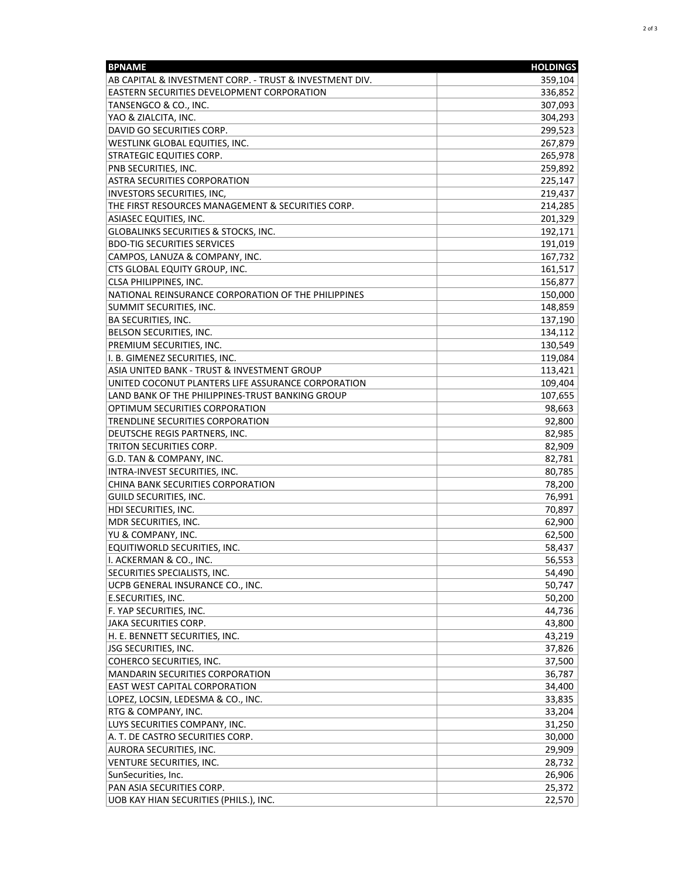| <b>BPNAME</b>                                           | <b>HOLDINGS</b> |
|---------------------------------------------------------|-----------------|
| AB CAPITAL & INVESTMENT CORP. - TRUST & INVESTMENT DIV. | 359,104         |
| EASTERN SECURITIES DEVELOPMENT CORPORATION              | 336,852         |
| TANSENGCO & CO., INC.                                   | 307,093         |
| YAO & ZIALCITA, INC.                                    | 304,293         |
| DAVID GO SECURITIES CORP.                               | 299,523         |
| WESTLINK GLOBAL EQUITIES, INC.                          | 267,879         |
| STRATEGIC EQUITIES CORP.                                | 265,978         |
| PNB SECURITIES, INC.                                    | 259,892         |
| <b>ASTRA SECURITIES CORPORATION</b>                     | 225,147         |
| INVESTORS SECURITIES, INC,                              | 219,437         |
| THE FIRST RESOURCES MANAGEMENT & SECURITIES CORP.       | 214,285         |
| <b>ASIASEC EQUITIES, INC.</b>                           | 201,329         |
| GLOBALINKS SECURITIES & STOCKS, INC.                    | 192,171         |
| <b>BDO-TIG SECURITIES SERVICES</b>                      | 191,019         |
| CAMPOS, LANUZA & COMPANY, INC.                          | 167,732         |
| CTS GLOBAL EQUITY GROUP, INC.                           | 161,517         |
| CLSA PHILIPPINES, INC.                                  | 156,877         |
| NATIONAL REINSURANCE CORPORATION OF THE PHILIPPINES     | 150,000         |
| SUMMIT SECURITIES, INC.                                 | 148,859         |
| BA SECURITIES, INC.                                     | 137,190         |
| BELSON SECURITIES, INC.                                 | 134,112         |
| PREMIUM SECURITIES, INC.                                | 130,549         |
| I. B. GIMENEZ SECURITIES, INC.                          | 119,084         |
| ASIA UNITED BANK - TRUST & INVESTMENT GROUP             | 113,421         |
| UNITED COCONUT PLANTERS LIFE ASSURANCE CORPORATION      | 109,404         |
| LAND BANK OF THE PHILIPPINES-TRUST BANKING GROUP        | 107,655         |
| OPTIMUM SECURITIES CORPORATION                          | 98,663          |
| TRENDLINE SECURITIES CORPORATION                        | 92,800          |
| DEUTSCHE REGIS PARTNERS, INC.                           | 82,985          |
| TRITON SECURITIES CORP.                                 | 82,909          |
| G.D. TAN & COMPANY, INC.                                | 82,781          |
| INTRA-INVEST SECURITIES, INC.                           | 80,785          |
| CHINA BANK SECURITIES CORPORATION                       | 78,200          |
| GUILD SECURITIES, INC.                                  | 76,991          |
| HDI SECURITIES, INC.                                    | 70,897          |
| MDR SECURITIES, INC.                                    | 62,900          |
| YU & COMPANY, INC.                                      | 62,500          |
| EQUITIWORLD SECURITIES, INC.                            | 58,437          |
| I. ACKERMAN & CO., INC.                                 | 56,553          |
| SECURITIES SPECIALISTS, INC.                            | 54,490          |
| UCPB GENERAL INSURANCE CO., INC.                        | 50,747          |
| E.SECURITIES, INC.                                      | 50,200          |
| F. YAP SECURITIES, INC.                                 | 44,736          |
| JAKA SECURITIES CORP.                                   | 43,800          |
| H. E. BENNETT SECURITIES, INC.                          | 43,219          |
| JSG SECURITIES, INC.                                    | 37,826          |
| COHERCO SECURITIES, INC.                                | 37,500          |
| <b>MANDARIN SECURITIES CORPORATION</b>                  | 36,787          |
| <b>EAST WEST CAPITAL CORPORATION</b>                    | 34,400          |
| LOPEZ, LOCSIN, LEDESMA & CO., INC.                      | 33,835          |
| RTG & COMPANY, INC.                                     | 33,204          |
| LUYS SECURITIES COMPANY, INC.                           | 31,250          |
| A. T. DE CASTRO SECURITIES CORP.                        | 30,000          |
| AURORA SECURITIES, INC.                                 | 29,909          |
| VENTURE SECURITIES, INC.                                | 28,732          |
| SunSecurities, Inc.                                     | 26,906          |
| PAN ASIA SECURITIES CORP.                               | 25,372          |
| UOB KAY HIAN SECURITIES (PHILS.), INC.                  | 22,570          |